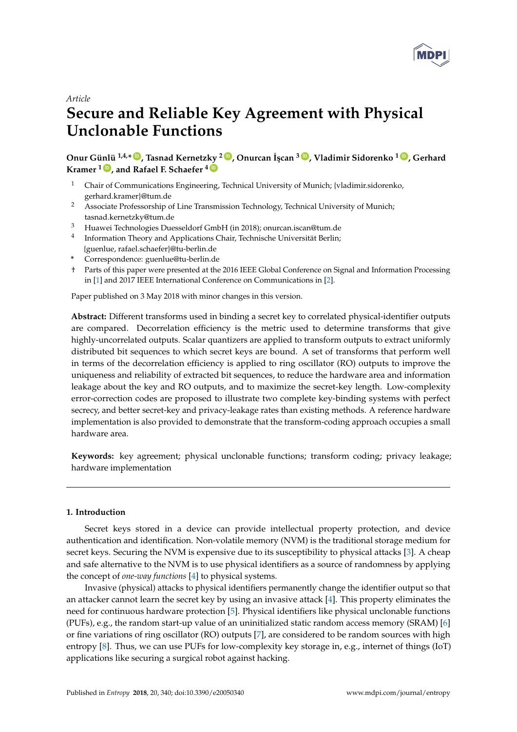

## *Article*

# **Secure and Reliable Key Agreement with Physical Unclonable Functions**

**Onur Günlü 1,4,\* [ID](https://orcid.org/0000-0002-0313-7788) , Tasnad Kernetzky <sup>2</sup> [ID](https://orcid.org/0000-0002-5111-5938) , Onurcan ˙I¸scan <sup>3</sup> [ID](https://orcid.org/0000-0001-7815-4358) , Vladimir Sidorenko <sup>1</sup> [ID](https://orcid.org/0000-0003-4966-3684) , Gerhard Kramer <sup>1</sup> [ID](https://orcid.org/0000-0002-3904-9181) , and Rafael F. Schaefer <sup>4</sup> [ID](https://orcid.org/0000-0002-1702-9075)**

- <sup>1</sup> Chair of Communications Engineering, Technical University of Munich; {vladimir.sidorenko, gerhard.kramer}@tum.de
- <sup>2</sup> Associate Professorship of Line Transmission Technology, Technical University of Munich; tasnad.kernetzky@tum.de
- <sup>3</sup> Huawei Technologies Duesseldorf GmbH (in 2018); onurcan.iscan@tum.de
- <sup>4</sup> Information Theory and Applications Chair, Technische Universität Berlin; {guenlue, rafael.schaefer}@tu-berlin.de
- **\*** Correspondence: guenlue@tu-berlin.de
- † Parts of this paper were presented at the 2016 IEEE Global Conference on Signal and Information Processing in [\[1\]](#page-16-0) and 2017 IEEE International Conference on Communications in [\[2\]](#page-16-1).

Paper published on 3 May 2018 with minor changes in this version.

**Abstract:** Different transforms used in binding a secret key to correlated physical-identifier outputs are compared. Decorrelation efficiency is the metric used to determine transforms that give highly-uncorrelated outputs. Scalar quantizers are applied to transform outputs to extract uniformly distributed bit sequences to which secret keys are bound. A set of transforms that perform well in terms of the decorrelation efficiency is applied to ring oscillator (RO) outputs to improve the uniqueness and reliability of extracted bit sequences, to reduce the hardware area and information leakage about the key and RO outputs, and to maximize the secret-key length. Low-complexity error-correction codes are proposed to illustrate two complete key-binding systems with perfect secrecy, and better secret-key and privacy-leakage rates than existing methods. A reference hardware implementation is also provided to demonstrate that the transform-coding approach occupies a small hardware area.

**Keywords:** key agreement; physical unclonable functions; transform coding; privacy leakage; hardware implementation

## **1. Introduction**

Secret keys stored in a device can provide intellectual property protection, and device authentication and identification. Non-volatile memory (NVM) is the traditional storage medium for secret keys. Securing the NVM is expensive due to its susceptibility to physical attacks [\[3\]](#page-16-2). A cheap and safe alternative to the NVM is to use physical identifiers as a source of randomness by applying the concept of *one-way functions* [\[4\]](#page-16-3) to physical systems.

Invasive (physical) attacks to physical identifiers permanently change the identifier output so that an attacker cannot learn the secret key by using an invasive attack [\[4\]](#page-16-3). This property eliminates the need for continuous hardware protection [\[5\]](#page-16-4). Physical identifiers like physical unclonable functions (PUFs), e.g., the random start-up value of an uninitialized static random access memory (SRAM) [\[6\]](#page-16-5) or fine variations of ring oscillator (RO) outputs [\[7\]](#page-16-6), are considered to be random sources with high entropy [\[8\]](#page-16-7). Thus, we can use PUFs for low-complexity key storage in, e.g., internet of things (IoT) applications like securing a surgical robot against hacking.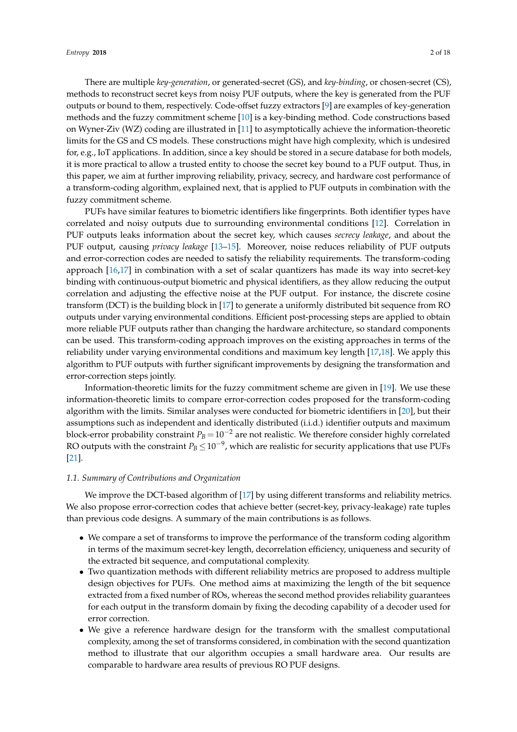There are multiple *key-generation*, or generated-secret (GS), and *key-binding*, or chosen-secret (CS), methods to reconstruct secret keys from noisy PUF outputs, where the key is generated from the PUF outputs or bound to them, respectively. Code-offset fuzzy extractors [\[9\]](#page-16-8) are examples of key-generation methods and the fuzzy commitment scheme [\[10\]](#page-16-9) is a key-binding method. Code constructions based on Wyner-Ziv (WZ) coding are illustrated in [\[11\]](#page-16-10) to asymptotically achieve the information-theoretic limits for the GS and CS models. These constructions might have high complexity, which is undesired for, e.g., IoT applications. In addition, since a key should be stored in a secure database for both models, it is more practical to allow a trusted entity to choose the secret key bound to a PUF output. Thus, in

this paper, we aim at further improving reliability, privacy, secrecy, and hardware cost performance of a transform-coding algorithm, explained next, that is applied to PUF outputs in combination with the fuzzy commitment scheme. PUFs have similar features to biometric identifiers like fingerprints. Both identifier types have correlated and noisy outputs due to surrounding environmental conditions [\[12\]](#page-16-11). Correlation in PUF outputs leaks information about the secret key, which causes *secrecy leakage*, and about the PUF output, causing *privacy leakage* [\[13–](#page-16-12)[15\]](#page-16-13). Moreover, noise reduces reliability of PUF outputs and error-correction codes are needed to satisfy the reliability requirements. The transform-coding

approach [\[16,](#page-16-14)[17\]](#page-16-15) in combination with a set of scalar quantizers has made its way into secret-key binding with continuous-output biometric and physical identifiers, as they allow reducing the output correlation and adjusting the effective noise at the PUF output. For instance, the discrete cosine transform (DCT) is the building block in [\[17\]](#page-16-15) to generate a uniformly distributed bit sequence from RO outputs under varying environmental conditions. Efficient post-processing steps are applied to obtain more reliable PUF outputs rather than changing the hardware architecture, so standard components can be used. This transform-coding approach improves on the existing approaches in terms of the reliability under varying environmental conditions and maximum key length [\[17](#page-16-15)[,18\]](#page-16-16). We apply this algorithm to PUF outputs with further significant improvements by designing the transformation and error-correction steps jointly.

Information-theoretic limits for the fuzzy commitment scheme are given in [\[19\]](#page-16-17). We use these information-theoretic limits to compare error-correction codes proposed for the transform-coding algorithm with the limits. Similar analyses were conducted for biometric identifiers in [\[20\]](#page-16-18), but their assumptions such as independent and identically distributed (i.i.d.) identifier outputs and maximum block-error probability constraint  $P_B = 10^{-2}$  are not realistic. We therefore consider highly correlated RO outputs with the constraint  $P_B \leq 10^{-9}$ , which are realistic for security applications that use PUFs [\[21\]](#page-16-19).

#### *1.1. Summary of Contributions and Organization*

We improve the DCT-based algorithm of [\[17\]](#page-16-15) by using different transforms and reliability metrics. We also propose error-correction codes that achieve better (secret-key, privacy-leakage) rate tuples than previous code designs. A summary of the main contributions is as follows.

- We compare a set of transforms to improve the performance of the transform coding algorithm in terms of the maximum secret-key length, decorrelation efficiency, uniqueness and security of the extracted bit sequence, and computational complexity.
- Two quantization methods with different reliability metrics are proposed to address multiple design objectives for PUFs. One method aims at maximizing the length of the bit sequence extracted from a fixed number of ROs, whereas the second method provides reliability guarantees for each output in the transform domain by fixing the decoding capability of a decoder used for error correction.
- We give a reference hardware design for the transform with the smallest computational complexity, among the set of transforms considered, in combination with the second quantization method to illustrate that our algorithm occupies a small hardware area. Our results are comparable to hardware area results of previous RO PUF designs.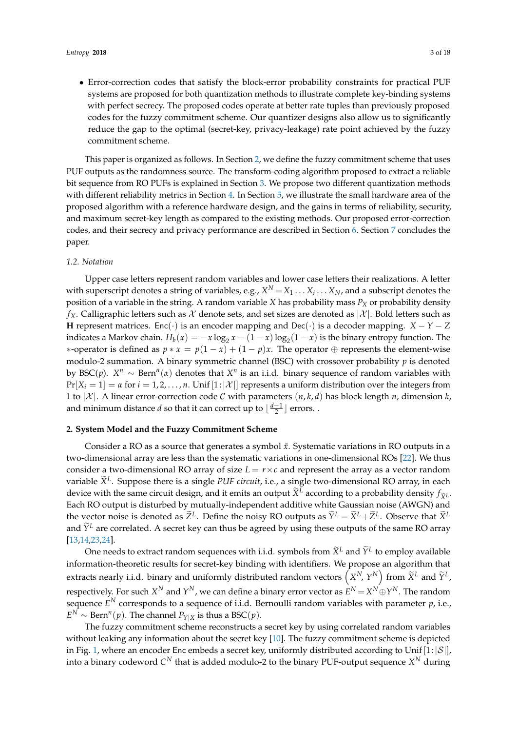• Error-correction codes that satisfy the block-error probability constraints for practical PUF systems are proposed for both quantization methods to illustrate complete key-binding systems with perfect secrecy. The proposed codes operate at better rate tuples than previously proposed codes for the fuzzy commitment scheme. Our quantizer designs also allow us to significantly reduce the gap to the optimal (secret-key, privacy-leakage) rate point achieved by the fuzzy commitment scheme.

This paper is organized as follows. In Section [2,](#page-2-0) we define the fuzzy commitment scheme that uses PUF outputs as the randomness source. The transform-coding algorithm proposed to extract a reliable bit sequence from RO PUFs is explained in Section [3.](#page-4-0) We propose two different quantization methods with different reliability metrics in Section [4.](#page-5-0) In Section [5,](#page-7-0) we illustrate the small hardware area of the proposed algorithm with a reference hardware design, and the gains in terms of reliability, security, and maximum secret-key length as compared to the existing methods. Our proposed error-correction codes, and their secrecy and privacy performance are described in Section [6.](#page-12-0) Section [7](#page-15-0) concludes the paper.

## *1.2. Notation*

Upper case letters represent random variables and lower case letters their realizations. A letter with superscript denotes a string of variables, e.g.,  $X^N \! = \! X_1 \dots X_i \dots X_N$ , and a subscript denotes the position of a variable in the string. A random variable *X* has probability mass *P<sup>X</sup>* or probability density  $f_X$ . Calligraphic letters such as  $\mathcal X$  denote sets, and set sizes are denoted as  $|\mathcal X|$ . Bold letters such as **H** represent matrices. Enc(·) is an encoder mapping and Dec(·) is a decoder mapping.  $X - Y - Z$ indicates a Markov chain.  $H_b(x) = -x \log_2 x - (1-x) \log_2(1-x)$  is the binary entropy function. The *\**-operator is defined as  $p * x = p(1-x) + (1-p)x$ . The operator ⊕ represents the element-wise modulo-2 summation. A binary symmetric channel (BSC) with crossover probability *p* is denoted by BSC(p).  $X^n \sim \text{Bern}^n(\alpha)$  denotes that  $X^n$  is an i.i.d. binary sequence of random variables with  $Pr[X_i = 1] = \alpha$  for  $i = 1, 2, ..., n$ . Unif  $[1:|\mathcal{X}|]$  represents a uniform distribution over the integers from 1 to  $|\mathcal{X}|$ . A linear error-correction code C with parameters  $(n, k, d)$  has block length *n*, dimension *k*, and minimum distance *d* so that it can correct up to  $\lfloor \frac{d-1}{2} \rfloor$  errors. .

## <span id="page-2-0"></span>**2. System Model and the Fuzzy Commitment Scheme**

Consider a RO as a source that generates a symbol  $\tilde{x}$ . Systematic variations in RO outputs in a two-dimensional array are less than the systematic variations in one-dimensional ROs [\[22\]](#page-17-0). We thus consider a two-dimensional RO array of size  $L = r \times c$  and represent the array as a vector random variable  $\widetilde{X}^L$ . Suppose there is a single *PUF circuit*, i.e., a single two-dimensional RO array, in each device with the same circuit design, and it emits an output  $\widetilde{X}^L$  according to a probability density  $f_{\widetilde{X}^L}$ . Each RO output is disturbed by mutually-independent additive white Gaussian noise (AWGN) and the vector noise is denoted as  $\widetilde{Z}^L$ . Define the noisy RO outputs as  $\widetilde{Y}^L = \widetilde{X}^L + \widetilde{Z}^L$ . Observe that  $\widetilde{X}^L$ and  $\tilde{Y}^L$  are correlated. A secret key can thus be agreed by using these outputs of the same RO array [\[13](#page-16-12)[,14](#page-16-20)[,23,](#page-17-1)[24\]](#page-17-2).

One needs to extract random sequences with i.i.d. symbols from  $\widetilde{X}^L$  and  $\widetilde{Y}^L$  to employ available information-theoretic results for secret-key binding with identifiers. We propose an algorithm that extracts nearly i.i.d. binary and uniformly distributed random vectors  $(X^N, Y^N)$  from  $\widetilde{X}^L$  and  $\widetilde{Y}^L$ , respectively. For such  $X^N$  and  $Y^N$ , we can define a binary error vector as  $E^N\!=\!X^N\!\oplus\!Y^N.$  The random sequence *E <sup>N</sup>* corresponds to a sequence of i.i.d. Bernoulli random variables with parameter *p*, i.e.,  $E^N$  ∼ Bern<sup>*n*</sup>(*p*). The channel  $P_{Y|X}$  is thus a BSC(*p*).

The fuzzy commitment scheme reconstructs a secret key by using correlated random variables without leaking any information about the secret key [\[10\]](#page-16-9). The fuzzy commitment scheme is depicted in Fig. [1,](#page-3-0) where an encoder Enc embeds a secret key, uniformly distributed according to Unif  $[1:|\mathcal{S}|]$ , into a binary codeword  $C^N$  that is added modulo-2 to the binary PUF-output sequence  $X^N$  during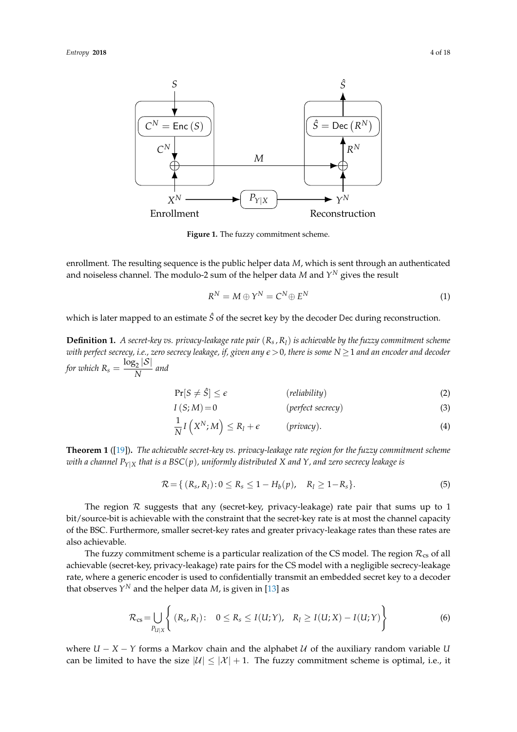<span id="page-3-0"></span>

**Figure 1.** The fuzzy commitment scheme.

enrollment. The resulting sequence is the public helper data *M*, which is sent through an authenticated and noiseless channel. The modulo-2 sum of the helper data  $M$  and  $Y^N$  gives the result

$$
R^N = M \oplus Y^N = C^N \oplus E^N \tag{1}
$$

which is later mapped to an estimate  $\hat{S}$  of the secret key by the decoder Dec during reconstruction.

**Definition 1.** *A secret-key vs. privacy-leakage rate pair* (*R<sup>s</sup> , Rl*) *is achievable by the fuzzy commitment scheme with perfect secrecy, i.e., zero secrecy leakage, if, given any e*>0*, there is some N* ≥1 *and an encoder and decoder for which*  $R_s = \frac{\log_2 |\mathcal{S}|}{N}$  $\frac{M}{N}$  and

$$
\Pr[S \neq \hat{S}] \le \epsilon \qquad \qquad (reliability) \tag{2}
$$

$$
I(S; M) = 0
$$
 (perfect secrecy) (3)

<span id="page-3-1"></span>
$$
\frac{1}{N}I(X^N;M) \le R_l + \epsilon \qquad ( \text{ privacy}). \tag{4}
$$

**Theorem 1** ([\[19\]](#page-16-17))**.** *The achievable secret-key vs. privacy-leakage rate region for the fuzzy commitment scheme with a channel PY*|*<sup>X</sup> that is a BSC*(*p*)*, uniformly distributed X and Y, and zero secrecy leakage is*

<span id="page-3-2"></span>
$$
\mathcal{R} = \{ (R_s, R_l) : 0 \le R_s \le 1 - H_b(p), \quad R_l \ge 1 - R_s \}. \tag{5}
$$

The region  $R$  suggests that any (secret-key, privacy-leakage) rate pair that sums up to  $1$ bit/source-bit is achievable with the constraint that the secret-key rate is at most the channel capacity of the BSC. Furthermore, smaller secret-key rates and greater privacy-leakage rates than these rates are also achievable.

The fuzzy commitment scheme is a particular realization of the CS model. The region  $\mathcal{R}_{cs}$  of all achievable (secret-key, privacy-leakage) rate pairs for the CS model with a negligible secrecy-leakage rate, where a generic encoder is used to confidentially transmit an embedded secret key to a decoder that observes  $Y^N$  and the helper data *M*, is given in [\[13\]](#page-16-12) as

$$
\mathcal{R}_{\text{cs}} = \bigcup_{P_{U|X}} \left\{ (R_s, R_l) \colon \quad 0 \le R_s \le I(U;Y), \quad R_l \ge I(U;X) - I(U;Y) \right\} \tag{6}
$$

where  $U - X - Y$  forms a Markov chain and the alphabet  $U$  of the auxiliary random variable  $U$ can be limited to have the size  $|U| \leq |X| + 1$ . The fuzzy commitment scheme is optimal, i.e., it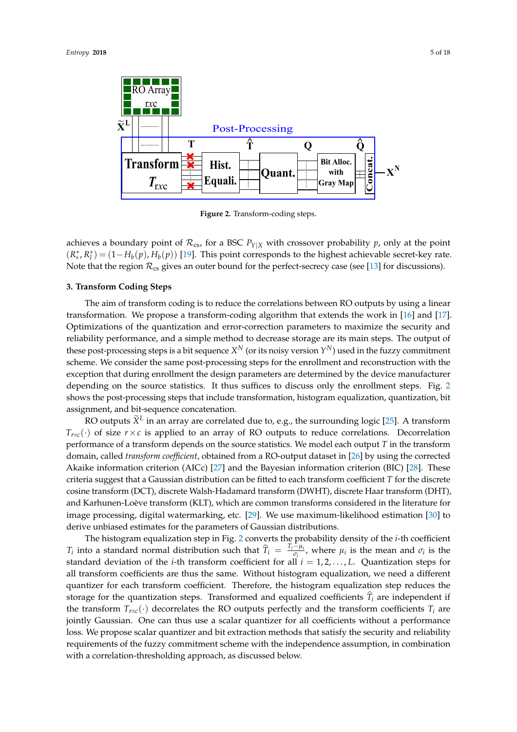<span id="page-4-1"></span>

**Figure 2.** Transform-coding steps.

achieves a boundary point of  $\mathcal{R}_{cs}$ , for a BSC  $P_{Y|X}$  with crossover probability *p*, only at the point  $(R_s^*, R_l^*) = (1 - H_b(p), H_b(p))$  [\[19\]](#page-16-17). This point corresponds to the highest achievable secret-key rate. Note that the region  $\mathcal{R}_{cs}$  gives an outer bound for the perfect-secrecy case (see [\[13\]](#page-16-12) for discussions).

#### <span id="page-4-0"></span>**3. Transform Coding Steps**

The aim of transform coding is to reduce the correlations between RO outputs by using a linear transformation. We propose a transform-coding algorithm that extends the work in [\[16\]](#page-16-14) and [\[17\]](#page-16-15). Optimizations of the quantization and error-correction parameters to maximize the security and reliability performance, and a simple method to decrease storage are its main steps. The output of these post-processing steps is a bit sequence  $X^N$  (or its noisy version  $Y^N$ ) used in the fuzzy commitment scheme. We consider the same post-processing steps for the enrollment and reconstruction with the exception that during enrollment the design parameters are determined by the device manufacturer depending on the source statistics. It thus suffices to discuss only the enrollment steps. Fig. [2](#page-4-1) shows the post-processing steps that include transformation, histogram equalization, quantization, bit assignment, and bit-sequence concatenation.

RO outputs  $\widetilde{X}^L$  in an array are correlated due to, e.g., the surrounding logic [\[25\]](#page-17-3). A transform  $T_{r\times c}(\cdot)$  of size  $r \times c$  is applied to an array of RO outputs to reduce correlations. Decorrelation performance of a transform depends on the source statistics. We model each output *T* in the transform domain, called *transform coefficient*, obtained from a RO-output dataset in [\[26\]](#page-17-4) by using the corrected Akaike information criterion (AICc) [\[27\]](#page-17-5) and the Bayesian information criterion (BIC) [\[28\]](#page-17-6). These criteria suggest that a Gaussian distribution can be fitted to each transform coefficient *T* for the discrete cosine transform (DCT), discrete Walsh-Hadamard transform (DWHT), discrete Haar transform (DHT), and Karhunen-Loève transform (KLT), which are common transforms considered in the literature for image processing, digital watermarking, etc. [\[29\]](#page-17-7). We use maximum-likelihood estimation [\[30\]](#page-17-8) to derive unbiased estimates for the parameters of Gaussian distributions.

The histogram equalization step in Fig. [2](#page-4-1) converts the probability density of the *i*-th coefficient *T*<sub>*i*</sub> into a standard normal distribution such that  $\hat{T}_i = \frac{T_i - \mu_i}{\sigma_i}$  $\frac{\mu_i}{\sigma_i}$ , where  $\mu_i$  is the mean and  $\sigma_i$  is the standard deviation of the *i*-th transform coefficient for all *i* = 1, 2, . . . , *L*. Quantization steps for all transform coefficients are thus the same. Without histogram equalization, we need a different quantizer for each transform coefficient. Therefore, the histogram equalization step reduces the storage for the quantization steps. Transformed and equalized coefficients  $T_i$  are independent if the transform  $T_{r \times c}(\cdot)$  decorrelates the RO outputs perfectly and the transform coefficients  $T_i$  are jointly Gaussian. One can thus use a scalar quantizer for all coefficients without a performance loss. We propose scalar quantizer and bit extraction methods that satisfy the security and reliability requirements of the fuzzy commitment scheme with the independence assumption, in combination with a correlation-thresholding approach, as discussed below.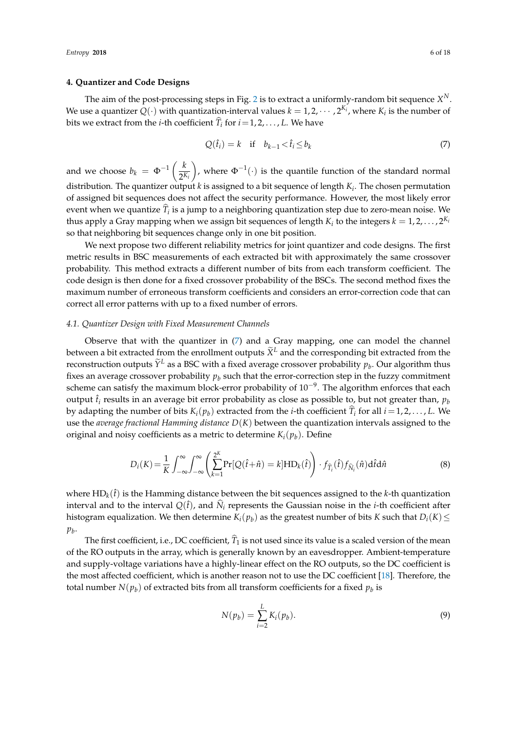## <span id="page-5-0"></span>**4. Quantizer and Code Designs**

The aim of the post-processing steps in Fig. [2](#page-4-1) is to extract a uniformly-random bit sequence  $X^N$ . We use a quantizer  $Q(\cdot)$  with quantization-interval values  $k = 1, 2, \cdots, 2^{K_i}$ , where  $K_i$  is the number of bits we extract from the *i*-th coefficient  $T_i$  for  $i = 1, 2, ..., L$ . We have

<span id="page-5-1"></span>
$$
Q(\hat{t}_i) = k \quad \text{if} \quad b_{k-1} < \hat{t}_i \le b_k \tag{7}
$$

and we choose  $b_k = \Phi^{-1} \left( \frac{k}{2^k} \right)$ 2 *Ki* ), where  $\Phi^{-1}(\cdot)$  is the quantile function of the standard normal distribution. The quantizer output *k* is assigned to a bit sequence of length *K<sup>i</sup>* . The chosen permutation of assigned bit sequences does not affect the security performance. However, the most likely error event when we quantize  $T_i$  is a jump to a neighboring quantization step due to zero-mean noise. We thus apply a Gray mapping when we assign bit sequences of length  $K_i$  to the integers  $k = 1, 2, \ldots, 2^{K_i}$ so that neighboring bit sequences change only in one bit position.

We next propose two different reliability metrics for joint quantizer and code designs. The first metric results in BSC measurements of each extracted bit with approximately the same crossover probability. This method extracts a different number of bits from each transform coefficient. The code design is then done for a fixed crossover probability of the BSCs. The second method fixes the maximum number of erroneous transform coefficients and considers an error-correction code that can correct all error patterns with up to a fixed number of errors.

#### <span id="page-5-2"></span>*4.1. Quantizer Design with Fixed Measurement Channels*

Observe that with the quantizer in  $(7)$  and a Gray mapping, one can model the channel between a bit extracted from the enrollment outputs  $\widetilde{X}^L$  and the corresponding bit extracted from the reconstruction outputs  $\widetilde{Y}^L$  as a BSC with a fixed average crossover probability  $p_b$ . Our algorithm thus fixes an average crossover probability  $p<sub>b</sub>$  such that the error-correction step in the fuzzy commitment scheme can satisfy the maximum block-error probability of  $10^{-9}$ . The algorithm enforces that each output  $\hat{t}_i$  results in an average bit error probability as close as possible to, but not greater than,  $p_b$ by adapting the number of bits  $K_i(p_b)$  extracted from the *i*-th coefficient  $T_i$  for all  $i = 1, 2, ..., L$ . We use the *average fractional Hamming distance D*(*K*) between the quantization intervals assigned to the original and noisy coefficients as a metric to determine  $K_i(p_b)$ . Define

$$
D_i(K) = \frac{1}{K} \int_{-\infty}^{\infty} \int_{-\infty}^{\infty} \left( \sum_{k=1}^{2^K} \Pr[Q(\hat{t} + \hat{n}) = k] \text{HD}_k(\hat{t}) \right) \cdot f_{\widehat{T}_i}(\hat{t}) f_{\widehat{N}_i}(\hat{n}) \text{d}\hat{t} \text{d}\hat{n}
$$
(8)

where  $HD_k(\hat{t})$  is the Hamming distance between the bit sequences assigned to the *k*-th quantization interval and to the interval  $Q(\hat{t})$ , and  $\hat{N}_i$  represents the Gaussian noise in the *i*-th coefficient after histogram equalization. We then determine  $K_i(p_b)$  as the greatest number of bits  $K$  such that  $D_i(K)$   $\leq$ *pb* .

The first coefficient, i.e., DC coefficient,  $T_1$  is not used since its value is a scaled version of the mean of the RO outputs in the array, which is generally known by an eavesdropper. Ambient-temperature and supply-voltage variations have a highly-linear effect on the RO outputs, so the DC coefficient is the most affected coefficient, which is another reason not to use the DC coefficient [\[18\]](#page-16-16). Therefore, the total number  $N(p_b)$  of extracted bits from all transform coefficients for a fixed  $p_b$  is

<span id="page-5-3"></span>
$$
N(p_b) = \sum_{i=2}^{L} K_i(p_b).
$$
 (9)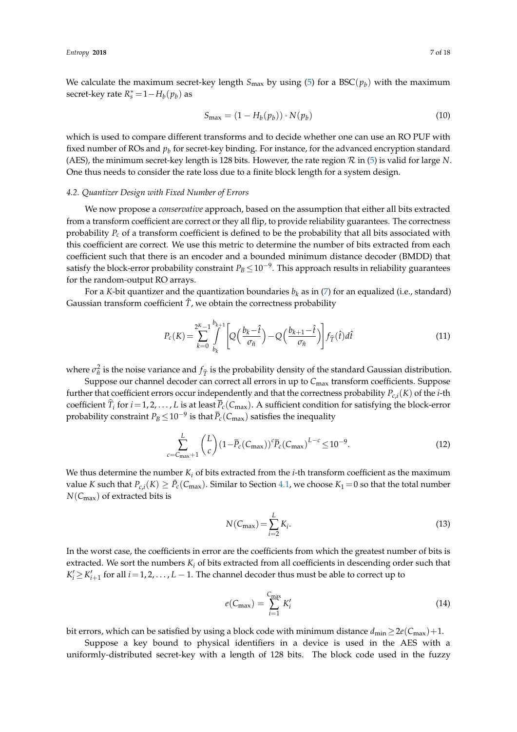We calculate the maximum secret-key length  $S_{\text{max}}$  by using [\(5\)](#page-3-1) for a BSC( $p_b$ ) with the maximum secret-key rate  $R_s^*$  = 1 $-H_b(p_b)$  as

<span id="page-6-1"></span>
$$
S_{\text{max}} = (1 - H_b(p_b)) \cdot N(p_b)
$$
\n(10)

which is used to compare different transforms and to decide whether one can use an RO PUF with fixed number of ROs and  $p_b$  for secret-key binding. For instance, for the advanced encryption standard (AES), the minimum secret-key length is 128 bits. However, the rate region R in [\(5\)](#page-3-1) is valid for large *N*. One thus needs to consider the rate loss due to a finite block length for a system design.

## <span id="page-6-0"></span>*4.2. Quantizer Design with Fixed Number of Errors*

We now propose a *conservative* approach, based on the assumption that either all bits extracted from a transform coefficient are correct or they all flip, to provide reliability guarantees. The correctness probability  $P_c$  of a transform coefficient is defined to be the probability that all bits associated with this coefficient are correct. We use this metric to determine the number of bits extracted from each coefficient such that there is an encoder and a bounded minimum distance decoder (BMDD) that satisfy the block-error probability constraint  $P_B \leq 10^{-9}$ . This approach results in reliability guarantees for the random-output RO arrays.

For a *K*-bit quantizer and the quantization boundaries  $b_k$  as in [\(7\)](#page-5-1) for an equalized (i.e., standard) Gaussian transform coefficient  $\hat{T}$ , we obtain the correctness probability

<span id="page-6-2"></span>
$$
P_c(K) = \sum_{k=0}^{2^K - 1} \int_{b_k}^{b_{k+1}} \left[ Q\left(\frac{b_k - \hat{t}}{\sigma_{\hat{n}}} \right) - Q\left(\frac{b_{k+1} - \hat{t}}{\sigma_{\hat{n}}} \right) \right] f_{\hat{T}}(\hat{t}) d\hat{t}
$$
(11)

where  $\sigma_h^2$  is the noise variance and  $f_{\hat{T}}$  is the probability density of the standard Gaussian distribution.

Suppose our channel decoder can correct all errors in up to C<sub>max</sub> transform coefficients. Suppose further that coefficient errors occur independently and that the correctness probability *Pc*,*i*(*K*) of the *i*-th coefficient  $\hat{T}_i$  for  $i = 1, 2, ..., L$  is at least  $\overline{P}_c(C_{\text{max}})$ . A sufficient condition for satisfying the block-error probability constraint *P<sup>B</sup>* ≤10−<sup>9</sup> is that *Pc*(*C*max) satisfies the inequality

$$
\sum_{c=C_{\text{max}}+1}^{L} {L \choose c} (1-\overline{P}_c(C_{\text{max}}))^c \overline{P}_c(C_{\text{max}})^{L-c} \le 10^{-9}.
$$
\n(12)

We thus determine the number *K<sup>i</sup>* of bits extracted from the *i*-th transform coefficient as the maximum value *K* such that  $P_{c,i}(K) \ge \bar{P}_c(C_{\text{max}})$ . Similar to Section [4.1,](#page-5-2) we choose  $K_1 = 0$  so that the total number *N*(*C*max) of extracted bits is

<span id="page-6-4"></span><span id="page-6-3"></span>
$$
N(C_{\text{max}}) = \sum_{i=2}^{L} K_i.
$$
\n(13)

In the worst case, the coefficients in error are the coefficients from which the greatest number of bits is extracted. We sort the numbers *K<sup>i</sup>* of bits extracted from all coefficients in descending order such that  $K_i' \geq K_{i+1}'$  for all  $i = 1, 2, \ldots, L-1$ . The channel decoder thus must be able to correct up to

<span id="page-6-5"></span>
$$
e(C_{\text{max}}) = \sum_{i=1}^{C_{\text{max}}} K'_i
$$
 (14)

bit errors, which can be satisfied by using a block code with minimum distance  $d_{min} \ge 2e(C_{max})+1$ .

Suppose a key bound to physical identifiers in a device is used in the AES with a uniformly-distributed secret-key with a length of 128 bits. The block code used in the fuzzy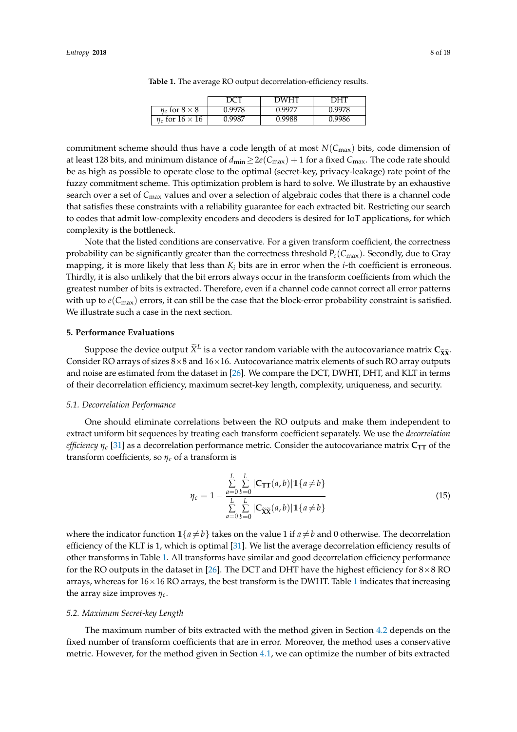|                             |        | <b>DWHT</b> | <b>DHT</b> |
|-----------------------------|--------|-------------|------------|
| $\eta_c$ for $8 \times 8$   | 0.9978 | 0.9977      | 0.9978     |
| $\eta_c$ for $16 \times 16$ | 0.9987 | 0.9988      | 0.9986     |

**Table 1.** The average RO output decorrelation-efficiency results.

<span id="page-7-1"></span>commitment scheme should thus have a code length of at most  $N(C_{\text{max}})$  bits, code dimension of at least 128 bits, and minimum distance of  $d_{\text{min}} \geq 2e(C_{\text{max}}) + 1$  for a fixed  $C_{\text{max}}$ . The code rate should be as high as possible to operate close to the optimal (secret-key, privacy-leakage) rate point of the fuzzy commitment scheme. This optimization problem is hard to solve. We illustrate by an exhaustive search over a set of *C*max values and over a selection of algebraic codes that there is a channel code that satisfies these constraints with a reliability guarantee for each extracted bit. Restricting our search to codes that admit low-complexity encoders and decoders is desired for IoT applications, for which complexity is the bottleneck.

Note that the listed conditions are conservative. For a given transform coefficient, the correctness probability can be significantly greater than the correctness threshold *Pc*(*C*max). Secondly, due to Gray mapping, it is more likely that less than *K<sup>i</sup>* bits are in error when the *i*-th coefficient is erroneous. Thirdly, it is also unlikely that the bit errors always occur in the transform coefficients from which the greatest number of bits is extracted. Therefore, even if a channel code cannot correct all error patterns with up to  $e(C_{\text{max}})$  errors, it can still be the case that the block-error probability constraint is satisfied. We illustrate such a case in the next section.

#### <span id="page-7-0"></span>**5. Performance Evaluations**

Suppose the device output  $\tilde{X}^L$  is a vector random variable with the autocovariance matrix  $\mathbf{C}_{\tilde{X}\tilde{X}}$ . Consider RO arrays of sizes  $8\times 8$  and  $16\times 16$ . Autocovariance matrix elements of such RO array outputs and noise are estimated from the dataset in [\[26\]](#page-17-4). We compare the DCT, DWHT, DHT, and KLT in terms of their decorrelation efficiency, maximum secret-key length, complexity, uniqueness, and security.

## *5.1. Decorrelation Performance*

One should eliminate correlations between the RO outputs and make them independent to extract uniform bit sequences by treating each transform coefficient separately. We use the *decorrelation efficiency*  $\eta_c$  [\[31\]](#page-17-9) as a decorrelation performance metric. Consider the autocovariance matrix  $C_{TT}$  of the transform coefficients, so  $\eta_c$  of a transform is

$$
\eta_c = 1 - \frac{\sum_{a=0}^{L} \sum_{b=0}^{L} |\mathbf{C}_{\mathbf{TT}}(a, b)| \mathbb{1}\{a \neq b\}}{\sum_{a=0}^{L} \sum_{b=0}^{L} |\mathbf{C}_{\widetilde{\mathbf{X}}}\widetilde{\mathbf{X}}(a, b)| \mathbb{1}\{a \neq b\}}
$$
(15)

where the indicator function  $1{a \neq b}$  takes on the value 1 if  $a \neq b$  and 0 otherwise. The decorrelation efficiency of the KLT is 1, which is optimal [\[31\]](#page-17-9). We list the average decorrelation efficiency results of other transforms in Table [1.](#page-7-1) All transforms have similar and good decorrelation efficiency performance for the RO outputs in the dataset in [\[26\]](#page-17-4). The DCT and DHT have the highest efficiency for  $8 \times 8$  RO arrays, whereas for  $16\times16$  $16\times16$  RO arrays, the best transform is the DWHT. Table 1 indicates that increasing the array size improves *ηc*.

#### *5.2. Maximum Secret-key Length*

The maximum number of bits extracted with the method given in Section [4.2](#page-6-0) depends on the fixed number of transform coefficients that are in error. Moreover, the method uses a conservative metric. However, for the method given in Section [4.1,](#page-5-2) we can optimize the number of bits extracted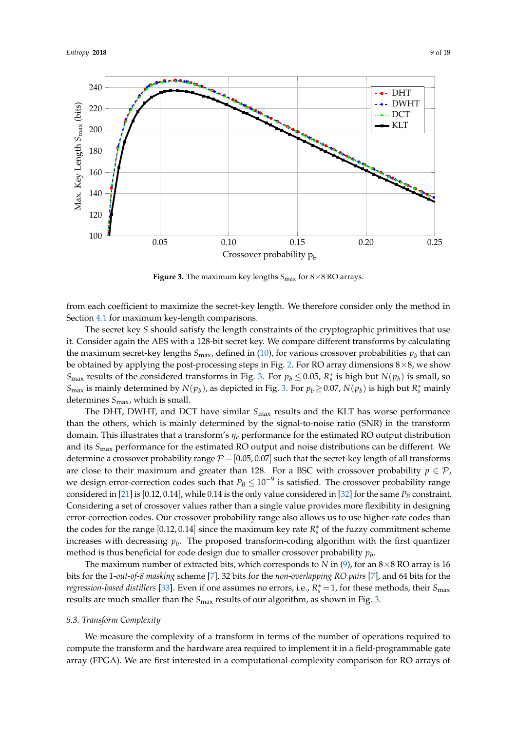<span id="page-8-0"></span>

**Figure 3.** The maximum key lengths  $S_{\text{max}}$  for  $8 \times 8$  RO arrays.

from each coefficient to maximize the secret-key length. We therefore consider only the method in Section [4.1](#page-5-2) for maximum key-length comparisons.

The secret key *S* should satisfy the length constraints of the cryptographic primitives that use it. Consider again the AES with a 128-bit secret key. We compare different transforms by calculating the maximum secret-key lengths  $S_{\text{max}}$ , defined in [\(10\)](#page-6-1), for various crossover probabilities  $p_b$  that can be obtained by applying the post-processing steps in Fig. [2.](#page-4-1) For RO array dimensions  $8\times 8$ , we show  $S_{\text{max}}$  results of the considered transforms in Fig. [3.](#page-8-0) For  $p_b \le 0.05$ ,  $R_s^*$  is high but  $N(p_b)$  is small, so *S*<sub>max</sub> is mainly determined by  $N(p_b)$ , as depicted in Fig. [3.](#page-8-0) For  $p_b \ge 0.07$ ,  $N(p_b)$  is high but  $R_s^*$  mainly determines *S*max, which is small.

The DHT, DWHT, and DCT have similar *S*max results and the KLT has worse performance than the others, which is mainly determined by the signal-to-noise ratio (SNR) in the transform domain. This illustrates that a transform's *η<sup>c</sup>* performance for the estimated RO output distribution and its *S*max performance for the estimated RO output and noise distributions can be different. We determine a crossover probability range  $P = [0.05, 0.07]$  such that the secret-key length of all transforms are close to their maximum and greater than 128. For a BSC with crossover probability  $p \in \mathcal{P}$ , we design error-correction codes such that  $P_B \leq 10^{-9}$  is satisfied. The crossover probability range considered in [\[21\]](#page-16-19) is [0.12, 0.14], while 0.14 is the only value considered in [\[32\]](#page-17-10) for the same *P<sup>B</sup>* constraint. Considering a set of crossover values rather than a single value provides more flexibility in designing error-correction codes. Our crossover probability range also allows us to use higher-rate codes than the codes for the range  $[0.12, 0.14]$  since the maximum key rate  $R_s^*$  of the fuzzy commitment scheme increases with decreasing *p<sup>b</sup>* . The proposed transform-coding algorithm with the first quantizer method is thus beneficial for code design due to smaller crossover probability *p<sup>b</sup>* .

The maximum number of extracted bits, which corresponds to *N* in  $(9)$ , for an  $8\times 8$  RO array is 16 bits for the *1-out-of-8 masking* scheme [\[7\]](#page-16-6), 32 bits for the *non-overlapping RO pairs* [\[7\]](#page-16-6), and 64 bits for the *regression-based distillers* [\[33\]](#page-17-11). Even if one assumes no errors, i.e., *R* ∗ *<sup>s</sup>* =1, for these methods, their *S*max results are much smaller than the *S*<sub>max</sub> results of our algorithm, as shown in Fig. [3.](#page-8-0)

#### *5.3. Transform Complexity*

We measure the complexity of a transform in terms of the number of operations required to compute the transform and the hardware area required to implement it in a field-programmable gate array (FPGA). We are first interested in a computational-complexity comparison for RO arrays of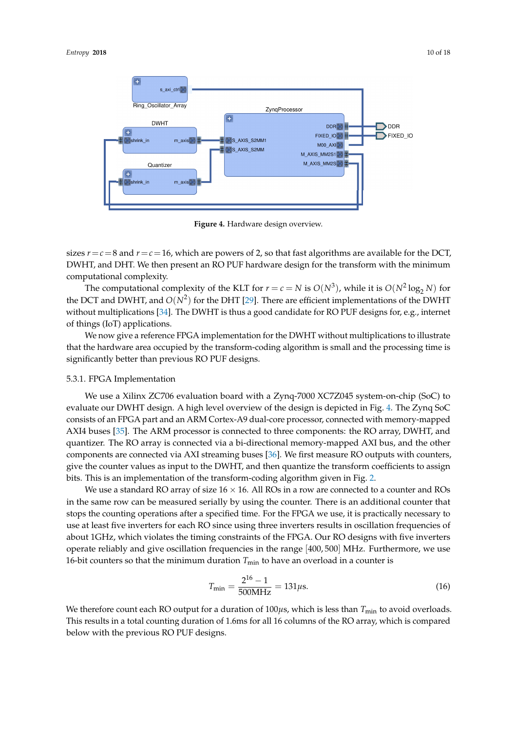<span id="page-9-0"></span>

**Figure 4.** Hardware design overview.

sizes  $r = c = 8$  and  $r = c = 16$ , which are powers of 2, so that fast algorithms are available for the DCT, DWHT, and DHT. We then present an RO PUF hardware design for the transform with the minimum computational complexity.

The computational complexity of the KLT for  $r = c = N$  is  $O(N^3)$ , while it is  $O(N^2 \log_2 N)$  for the DCT and DWHT, and  $O(N^2)$  for the DHT [\[29\]](#page-17-7). There are efficient implementations of the DWHT without multiplications [\[34\]](#page-17-12). The DWHT is thus a good candidate for RO PUF designs for, e.g., internet of things (IoT) applications.

We now give a reference FPGA implementation for the DWHT without multiplications to illustrate that the hardware area occupied by the transform-coding algorithm is small and the processing time is significantly better than previous RO PUF designs.

## 5.3.1. FPGA Implementation

We use a Xilinx ZC706 evaluation board with a Zynq-7000 XC7Z045 system-on-chip (SoC) to evaluate our DWHT design. A high level overview of the design is depicted in Fig. [4.](#page-9-0) The Zynq SoC consists of an FPGA part and an ARM Cortex-A9 dual-core processor, connected with memory-mapped AXI4 buses [\[35\]](#page-17-13). The ARM processor is connected to three components: the RO array, DWHT, and quantizer. The RO array is connected via a bi-directional memory-mapped AXI bus, and the other components are connected via AXI streaming buses [\[36\]](#page-17-14). We first measure RO outputs with counters, give the counter values as input to the DWHT, and then quantize the transform coefficients to assign bits. This is an implementation of the transform-coding algorithm given in Fig. [2.](#page-4-1)

We use a standard RO array of size  $16 \times 16$ . All ROs in a row are connected to a counter and ROs in the same row can be measured serially by using the counter. There is an additional counter that stops the counting operations after a specified time. For the FPGA we use, it is practically necessary to use at least five inverters for each RO since using three inverters results in oscillation frequencies of about 1GHz, which violates the timing constraints of the FPGA. Our RO designs with five inverters operate reliably and give oscillation frequencies in the range [400, 500] MHz. Furthermore, we use 16-bit counters so that the minimum duration  $T_{\text{min}}$  to have an overload in a counter is

<span id="page-9-1"></span>
$$
T_{\min} = \frac{2^{16} - 1}{500 \text{MHz}} = 131 \mu\text{s}.\tag{16}
$$

We therefore count each RO output for a duration of  $100\mu s$ , which is less than  $T_{\min}$  to avoid overloads. This results in a total counting duration of 1.6ms for all 16 columns of the RO array, which is compared below with the previous RO PUF designs.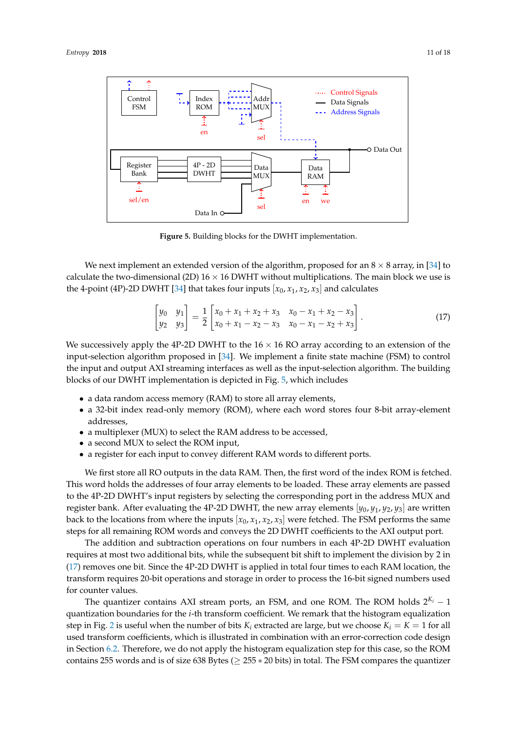<span id="page-10-0"></span>

**Figure 5.** Building blocks for the DWHT implementation.

We next implement an extended version of the algorithm, proposed for an  $8 \times 8$  array, in [\[34\]](#page-17-12) to calculate the two-dimensional (2D)  $16 \times 16$  DWHT without multiplications. The main block we use is the 4-point (4P)-2D DWHT [\[34\]](#page-17-12) that takes four inputs  $[x_0, x_1, x_2, x_3]$  and calculates

<span id="page-10-1"></span>
$$
\begin{bmatrix} y_0 & y_1 \ y_2 & y_3 \end{bmatrix} = \frac{1}{2} \begin{bmatrix} x_0 + x_1 + x_2 + x_3 & x_0 - x_1 + x_2 - x_3 \ x_0 + x_1 - x_2 - x_3 & x_0 - x_1 - x_2 + x_3 \end{bmatrix}.
$$
 (17)

We successively apply the 4P-2D DWHT to the  $16 \times 16$  RO array according to an extension of the input-selection algorithm proposed in [\[34\]](#page-17-12). We implement a finite state machine (FSM) to control the input and output AXI streaming interfaces as well as the input-selection algorithm. The building blocks of our DWHT implementation is depicted in Fig. [5,](#page-10-0) which includes

- a data random access memory (RAM) to store all array elements,
- a 32-bit index read-only memory (ROM), where each word stores four 8-bit array-element addresses,
- a multiplexer (MUX) to select the RAM address to be accessed,
- a second MUX to select the ROM input,
- a register for each input to convey different RAM words to different ports.

We first store all RO outputs in the data RAM. Then, the first word of the index ROM is fetched. This word holds the addresses of four array elements to be loaded. These array elements are passed to the 4P-2D DWHT's input registers by selecting the corresponding port in the address MUX and register bank. After evaluating the 4P-2D DWHT, the new array elements [*y*0, *y*1, *y*2, *y*3] are written back to the locations from where the inputs  $[x_0, x_1, x_2, x_3]$  were fetched. The FSM performs the same steps for all remaining ROM words and conveys the 2D DWHT coefficients to the AXI output port.

The addition and subtraction operations on four numbers in each 4P-2D DWHT evaluation requires at most two additional bits, while the subsequent bit shift to implement the division by 2 in [\(17\)](#page-10-1) removes one bit. Since the 4P-2D DWHT is applied in total four times to each RAM location, the transform requires 20-bit operations and storage in order to process the 16-bit signed numbers used for counter values.

The quantizer contains AXI stream ports, an FSM, and one ROM. The ROM holds 2 *<sup>K</sup><sup>i</sup>* − 1 quantization boundaries for the *i*-th transform coefficient. We remark that the histogram equalization step in Fig. [2](#page-4-1) is useful when the number of bits  $K_i$  extracted are large, but we choose  $K_i = K = 1$  for all used transform coefficients, which is illustrated in combination with an error-correction code design in Section [6.2.](#page-13-0) Therefore, we do not apply the histogram equalization step for this case, so the ROM contains 255 words and is of size 638 Bytes ( $\geq$  255  $*$  20 bits) in total. The FSM compares the quantizer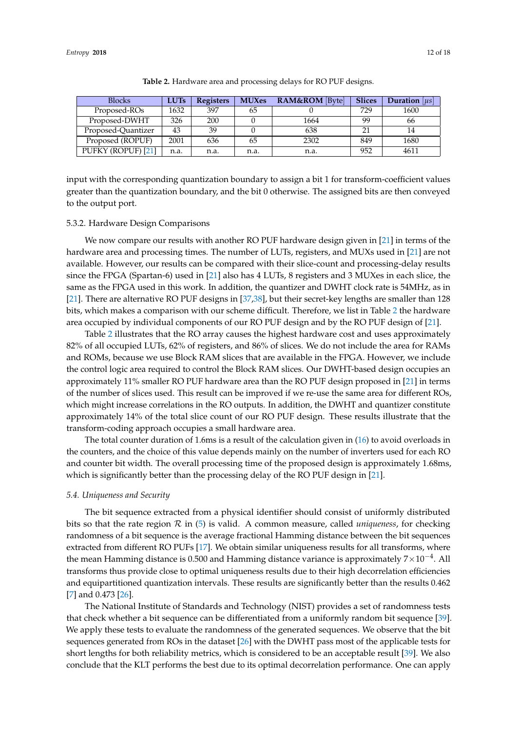<span id="page-11-0"></span>

| <b>Blocks</b>      | <b>LUTs</b> | <b>Registers</b> | <b>MUXes</b> | <b>RAM&amp;ROM</b> [Byte] | <b>Slices</b> | <b>Duration</b>   $\mu$ s |
|--------------------|-------------|------------------|--------------|---------------------------|---------------|---------------------------|
| Proposed-ROs       | 1632        | 397              | 65           |                           | 729           | 1600                      |
| Proposed-DWHT      | 326         | 200              |              | 1664                      | 99            | 66                        |
| Proposed-Quantizer | 43          | 39               |              | 638                       | 21            |                           |
| Proposed (ROPUF)   | 2001        | 636              | 65           | 2302                      | 849           | 1680                      |
| PUFKY (ROPUF) [21] | n.a.        | n.a.             | n.a.         | n.a.                      | 952           | 4611                      |

**Table 2.** Hardware area and processing delays for RO PUF designs.

input with the corresponding quantization boundary to assign a bit 1 for transform-coefficient values greater than the quantization boundary, and the bit 0 otherwise. The assigned bits are then conveyed to the output port.

## 5.3.2. Hardware Design Comparisons

We now compare our results with another RO PUF hardware design given in [\[21\]](#page-16-19) in terms of the hardware area and processing times. The number of LUTs, registers, and MUXs used in [\[21\]](#page-16-19) are not available. However, our results can be compared with their slice-count and processing-delay results since the FPGA (Spartan-6) used in [\[21\]](#page-16-19) also has 4 LUTs, 8 registers and 3 MUXes in each slice, the same as the FPGA used in this work. In addition, the quantizer and DWHT clock rate is 54MHz, as in [\[21\]](#page-16-19). There are alternative RO PUF designs in [\[37,](#page-17-15)[38\]](#page-17-16), but their secret-key lengths are smaller than 128 bits, which makes a comparison with our scheme difficult. Therefore, we list in Table [2](#page-11-0) the hardware area occupied by individual components of our RO PUF design and by the RO PUF design of [\[21\]](#page-16-19).

Table [2](#page-11-0) illustrates that the RO array causes the highest hardware cost and uses approximately 82% of all occupied LUTs, 62% of registers, and 86% of slices. We do not include the area for RAMs and ROMs, because we use Block RAM slices that are available in the FPGA. However, we include the control logic area required to control the Block RAM slices. Our DWHT-based design occupies an approximately 11% smaller RO PUF hardware area than the RO PUF design proposed in [\[21\]](#page-16-19) in terms of the number of slices used. This result can be improved if we re-use the same area for different ROs, which might increase correlations in the RO outputs. In addition, the DWHT and quantizer constitute approximately 14% of the total slice count of our RO PUF design. These results illustrate that the transform-coding approach occupies a small hardware area.

The total counter duration of 1.6ms is a result of the calculation given in [\(16\)](#page-9-1) to avoid overloads in the counters, and the choice of this value depends mainly on the number of inverters used for each RO and counter bit width. The overall processing time of the proposed design is approximately 1.68ms, which is significantly better than the processing delay of the RO PUF design in [\[21\]](#page-16-19).

## *5.4. Uniqueness and Security*

The bit sequence extracted from a physical identifier should consist of uniformly distributed bits so that the rate region  $\mathcal R$  in [\(5\)](#page-3-1) is valid. A common measure, called *uniqueness*, for checking randomness of a bit sequence is the average fractional Hamming distance between the bit sequences extracted from different RO PUFs [\[17\]](#page-16-15). We obtain similar uniqueness results for all transforms, where the mean Hamming distance is 0.500 and Hamming distance variance is approximately  $7\times10^{-4}$ . All transforms thus provide close to optimal uniqueness results due to their high decorrelation efficiencies and equipartitioned quantization intervals. These results are significantly better than the results 0.462 [\[7\]](#page-16-6) and 0.473 [\[26\]](#page-17-4).

The National Institute of Standards and Technology (NIST) provides a set of randomness tests that check whether a bit sequence can be differentiated from a uniformly random bit sequence [\[39\]](#page-17-17). We apply these tests to evaluate the randomness of the generated sequences. We observe that the bit sequences generated from ROs in the dataset [\[26\]](#page-17-4) with the DWHT pass most of the applicable tests for short lengths for both reliability metrics, which is considered to be an acceptable result [\[39\]](#page-17-17). We also conclude that the KLT performs the best due to its optimal decorrelation performance. One can apply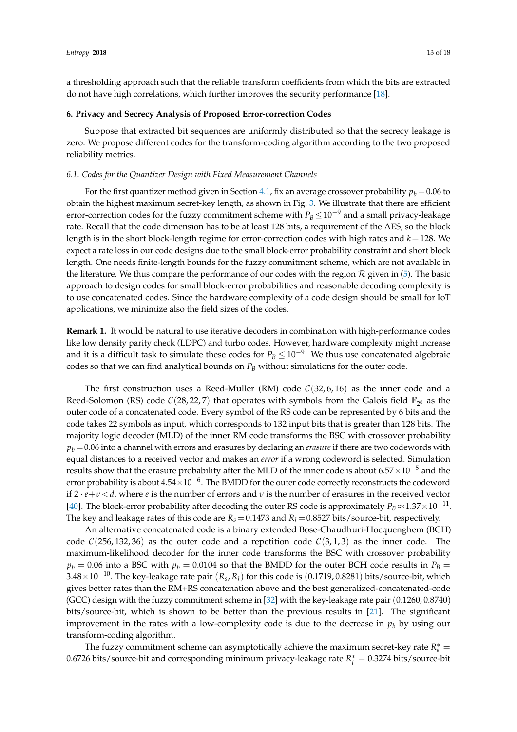a thresholding approach such that the reliable transform coefficients from which the bits are extracted do not have high correlations, which further improves the security performance [\[18\]](#page-16-16).

## <span id="page-12-0"></span>**6. Privacy and Secrecy Analysis of Proposed Error-correction Codes**

Suppose that extracted bit sequences are uniformly distributed so that the secrecy leakage is zero. We propose different codes for the transform-coding algorithm according to the two proposed reliability metrics.

## <span id="page-12-1"></span>*6.1. Codes for the Quantizer Design with Fixed Measurement Channels*

For the first quantizer method given in Section [4.1,](#page-5-2) fix an average crossover probability  $p_b = 0.06$  to obtain the highest maximum secret-key length, as shown in Fig. [3.](#page-8-0) We illustrate that there are efficient error-correction codes for the fuzzy commitment scheme with  $P_B \!\leq\! 10^{-9}$  and a small privacy-leakage rate. Recall that the code dimension has to be at least 128 bits, a requirement of the AES, so the block length is in the short block-length regime for error-correction codes with high rates and *k*=128. We expect a rate loss in our code designs due to the small block-error probability constraint and short block length. One needs finite-length bounds for the fuzzy commitment scheme, which are not available in the literature. We thus compare the performance of our codes with the region  $R$  given in [\(5\)](#page-3-1). The basic approach to design codes for small block-error probabilities and reasonable decoding complexity is to use concatenated codes. Since the hardware complexity of a code design should be small for IoT applications, we minimize also the field sizes of the codes.

**Remark 1.** It would be natural to use iterative decoders in combination with high-performance codes like low density parity check (LDPC) and turbo codes. However, hardware complexity might increase and it is a difficult task to simulate these codes for  $P_B \leq 10^{-9}$ . We thus use concatenated algebraic codes so that we can find analytical bounds on *P<sup>B</sup>* without simulations for the outer code.

The first construction uses a Reed-Muller (RM) code  $C(32, 6, 16)$  as the inner code and a Reed-Solomon (RS) code  $C(28, 22, 7)$  that operates with symbols from the Galois field  $\mathbb{F}_{2^6}$  as the outer code of a concatenated code. Every symbol of the RS code can be represented by 6 bits and the code takes 22 symbols as input, which corresponds to 132 input bits that is greater than 128 bits. The majority logic decoder (MLD) of the inner RM code transforms the BSC with crossover probability  $p_b$  = 0.06 into a channel with errors and erasures by declaring an *erasure* if there are two codewords with equal distances to a received vector and makes an *error* if a wrong codeword is selected. Simulation results show that the erasure probability after the MLD of the inner code is about 6.57 $\times10^{-5}$  and the error probability is about  $4.54\times10^{-6}$ . The BMDD for the outer code correctly reconstructs the codeword if  $2 \cdot e + v \le d$ , where *e* is the number of errors and *v* is the number of erasures in the received vector [\[40\]](#page-17-18). The block-error probability after decoding the outer RS code is approximately  $P_B \approx 1.37 \times 10^{-11}$ . The key and leakage rates of this code are  $R_s = 0.1473$  and  $R_l = 0.8527$  bits/source-bit, respectively.

An alternative concatenated code is a binary extended Bose-Chaudhuri-Hocquenghem (BCH) code  $C(256, 132, 36)$  as the outer code and a repetition code  $C(3, 1, 3)$  as the inner code. The maximum-likelihood decoder for the inner code transforms the BSC with crossover probability  $p_b = 0.06$  into a BSC with  $p_b = 0.0104$  so that the BMDD for the outer BCH code results in  $P_B =$ 3.48×10−10. The key-leakage rate pair (*R<sup>s</sup>* , *Rl*) for this code is (0.1719, 0.8281) bits/source-bit, which gives better rates than the RM+RS concatenation above and the best generalized-concatenated-code (GCC) design with the fuzzy commitment scheme in [\[32\]](#page-17-10) with the key-leakage rate pair (0.1260, 0.8740) bits/source-bit, which is shown to be better than the previous results in [\[21\]](#page-16-19). The significant improvement in the rates with a low-complexity code is due to the decrease in  $p_b$  by using our transform-coding algorithm.

The fuzzy commitment scheme can asymptotically achieve the maximum secret-key rate  $R_s^*$  = 0.6726 bits/source-bit and corresponding minimum privacy-leakage rate  $R_l^* = 0.3274$  bits/source-bit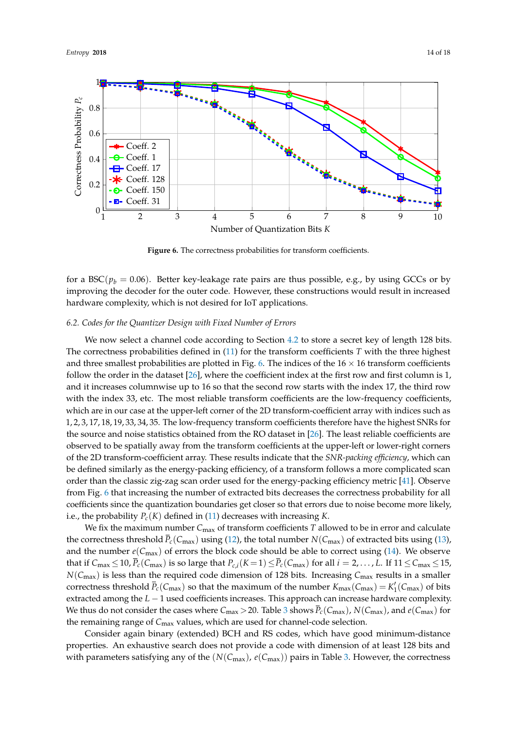<span id="page-13-1"></span>

Figure 6. The correctness probabilities for transform coefficients.

for a BSC( $p_b = 0.06$ ). Better key-leakage rate pairs are thus possible, e.g., by using GCCs or by improving the decoder for the outer code. However, these constructions would result in increased hardware complexity, which is not desired for IoT applications.

## <span id="page-13-0"></span>*6.2. Codes for the Quantizer Design with Fixed Number of Errors*

We now select a channel code according to Section [4.2](#page-6-0) to store a secret key of length 128 bits. The correctness probabilities defined in [\(11\)](#page-6-2) for the transform coefficients *T* with the three highest and three smallest probabilities are plotted in Fig. [6.](#page-13-1) The indices of the  $16 \times 16$  transform coefficients follow the order in the dataset [\[26\]](#page-17-4), where the coefficient index at the first row and first column is 1, and it increases columnwise up to 16 so that the second row starts with the index 17, the third row with the index 33, etc. The most reliable transform coefficients are the low-frequency coefficients, which are in our case at the upper-left corner of the 2D transform-coefficient array with indices such as 1, 2, 3, 17, 18, 19, 33, 34, 35. The low-frequency transform coefficients therefore have the highest SNRs for the source and noise statistics obtained from the RO dataset in [\[26\]](#page-17-4). The least reliable coefficients are observed to be spatially away from the transform coefficients at the upper-left or lower-right corners of the 2D transform-coefficient array. These results indicate that the *SNR-packing efficiency*, which can be defined similarly as the energy-packing efficiency, of a transform follows a more complicated scan order than the classic zig-zag scan order used for the energy-packing efficiency metric [\[41\]](#page-17-19). Observe from Fig. [6](#page-13-1) that increasing the number of extracted bits decreases the correctness probability for all coefficients since the quantization boundaries get closer so that errors due to noise become more likely, i.e., the probability *Pc*(*K*) defined in [\(11\)](#page-6-2) decreases with increasing *K*.

We fix the maximum number *C*max of transform coefficients *T* allowed to be in error and calculate the correctness threshold  $\bar{P}_c(C_{\text{max}})$  using [\(12\)](#page-6-3), the total number  $N(C_{\text{max}})$  of extracted bits using [\(13\)](#page-6-4), and the number  $e(C_{\text{max}})$  of errors the block code should be able to correct using [\(14\)](#page-6-5). We observe that if  $C_{\text{max}} \le 10$ ,  $\bar{P}_c(C_{\text{max}})$  is so large that  $P_{c,i}(K=1) \le \bar{P}_c(C_{\text{max}})$  for all  $i = 2, \ldots, L$ . If  $11 \le C_{\text{max}} \le 15$ , *N*(*C*<sub>max</sub>) is less than the required code dimension of 128 bits. Increasing *C*<sub>max</sub> results in a smaller correctness threshold  $\bar{P}_c(C_{\text{max}})$  so that the maximum of the number  $K_{\text{max}}(C_{\text{max}}) = K'_1(C_{\text{max}})$  of bits extracted among the *L* − 1 used coefficients increases. This approach can increase hardware complexity. We thus do not consider the cases where  $C_{\text{max}} > 20$ . Table [3](#page-14-0) shows  $\bar{P}_c(C_{\text{max}})$ ,  $N(C_{\text{max}})$ , and  $e(C_{\text{max}})$  for the remaining range of *C*max values, which are used for channel-code selection.

Consider again binary (extended) BCH and RS codes, which have good minimum-distance properties. An exhaustive search does not provide a code with dimension of at least 128 bits and with parameters satisfying any of the  $(N(C_{\text{max}}), e(C_{\text{max}}))$  pairs in Table [3.](#page-14-0) However, the correctness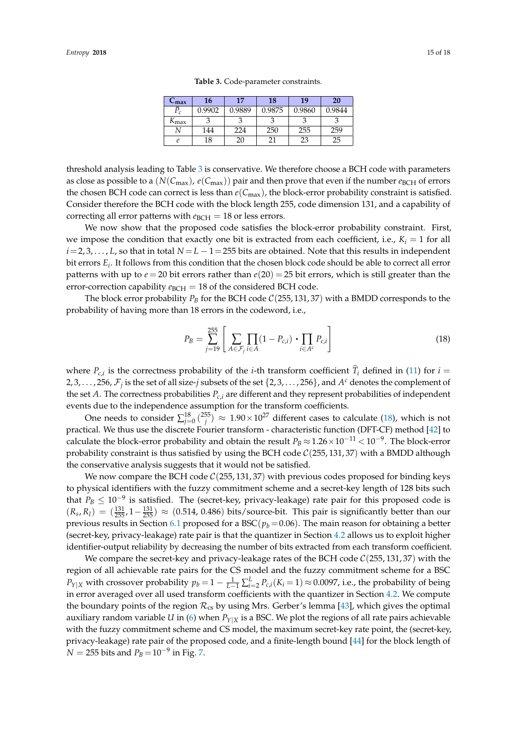**Table 3.** Code-parameter constraints.

<span id="page-14-0"></span>threshold analysis leading to Table [3](#page-14-0) is conservative. We therefore choose a BCH code with parameters as close as possible to a  $(N(C_{\text{max}}), e(C_{\text{max}}))$  pair and then prove that even if the number  $e_{\text{BCH}}$  of errors the chosen BCH code can correct is less than  $e(C_{\text{max}})$ , the block-error probability constraint is satisfied. Consider therefore the BCH code with the block length 255, code dimension 131, and a capability of correcting all error patterns with  $e_{BCH} = 18$  or less errors.

We now show that the proposed code satisfies the block-error probability constraint. First, we impose the condition that exactly one bit is extracted from each coefficient, i.e.,  $K_i = 1$  for all *i*=2, 3, . . . , *L*, so that in total *N* = *L* − 1 = 255 bits are obtained. Note that this results in independent bit errors *E<sup>i</sup>* . It follows from this condition that the chosen block code should be able to correct all error patterns with up to  $e = 20$  bit errors rather than  $e(20) = 25$  bit errors, which is still greater than the error-correction capability  $e_{BCH} = 18$  of the considered BCH code.

The block error probability  $P_B$  for the BCH code  $C(255, 131, 37)$  with a BMDD corresponds to the probability of having more than 18 errors in the codeword, i.e.,

<span id="page-14-1"></span>
$$
P_B = \sum_{j=19}^{255} \left[ \sum_{A \in \mathcal{F}_j} \prod_{i \in A} (1 - P_{c,i}) \cdot \prod_{i \in A^c} P_{c,i} \right]
$$
(18)

where  $P_{c,i}$  is the correctness probability of the *i*-th transform coefficient  $T_i$  defined in [\(11\)](#page-6-2) for  $i =$ 2, 3,  $\dots$  , 256,  $\mathcal{F}_j$  is the set of all size-*j* subsets of the set  $\{2,3,\dots,$  256 $\}$ , and  $A^c$  denotes the complement of the set *A*. The correctness probabilities  $P_{c,i}$  are different and they represent probabilities of independent events due to the independence assumption for the transform coefficients.

One needs to consider  $\sum_{j=0}^{18} {255 \choose j} \approx 1.90 \times 10^{27}$  different cases to calculate [\(18\)](#page-14-1), which is not practical. We thus use the discrete Fourier transform - characteristic function (DFT-CF) method [\[42\]](#page-17-20) to calculate the block-error probability and obtain the result  $P_B \approx 1.26 \times 10^{-11} < 10^{-9}$ . The block-error probability constraint is thus satisfied by using the BCH code  $\mathcal{C}(255, 131, 37)$  with a BMDD although the conservative analysis suggests that it would not be satisfied.

We now compare the BCH code  $C(255, 131, 37)$  with previous codes proposed for binding keys to physical identifiers with the fuzzy commitment scheme and a secret-key length of 128 bits such that  $P_B \leq 10^{-9}$  is satisfied. The (secret-key, privacy-leakage) rate pair for this proposed code is  $(R_s, R_l) = (\frac{131}{255}, 1-\frac{131}{255}) \approx (0.514, 0.486)$  bits/source-bit. This pair is significantly better than our previous results in Section [6.1](#page-12-1) proposed for a BSC( $p_b$  = 0.06). The main reason for obtaining a better (secret-key, privacy-leakage) rate pair is that the quantizer in Section [4.2](#page-6-0) allows us to exploit higher identifier-output reliability by decreasing the number of bits extracted from each transform coefficient.

We compare the secret-key and privacy-leakage rates of the BCH code  $C(255, 131, 37)$  with the region of all achievable rate pairs for the CS model and the fuzzy commitment scheme for a BSC *P*<sup>*Y*</sup>|*X* with crossover probability  $p_b = 1 - \frac{1}{L-1} \sum_{i=2}^{L} P_{c,i}(K_i = 1) ≈ 0.0097$ , i.e., the probability of being in error averaged over all used transform coefficients with the quantizer in Section [4.2.](#page-6-0) We compute the boundary points of the region  $\mathcal{R}_{cs}$  by using Mrs. Gerber's lemma [\[43\]](#page-17-21), which gives the optimal auxiliary random variable *U* in [\(6\)](#page-3-2) when  $P_{Y|X}$  is a BSC. We plot the regions of all rate pairs achievable with the fuzzy commitment scheme and CS model, the maximum secret-key rate point, the (secret-key, privacy-leakage) rate pair of the proposed code, and a finite-length bound [\[44\]](#page-17-22) for the block length of  $N = 255$  bits and  $P_B\!=\!10^{-9}$  in Fig. [7.](#page-15-1)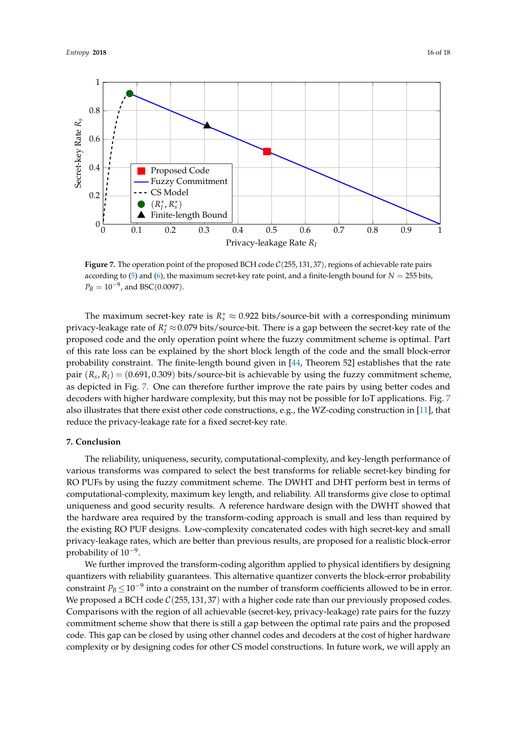<span id="page-15-1"></span>

**Figure 7.** The operation point of the proposed BCH code  $C(255, 131, 37)$ , regions of achievable rate pairs according to  $(5)$  and  $(6)$ , the maximum secret-key rate point, and a finite-length bound for  $N = 255$  bits,  $P_B = 10^{-9}$ , and BSC(0.0097).

The maximum secret-key rate is  $R_s^* \approx 0.922$  bits/source-bit with a corresponding minimum privacy-leakage rate of  $R_l^*$ ≈0.079 bits/source-bit. There is a gap between the secret-key rate of the proposed code and the only operation point where the fuzzy commitment scheme is optimal. Part of this rate loss can be explained by the short block length of the code and the small block-error probability constraint. The finite-length bound given in [\[44,](#page-17-22) Theorem 52] establishes that the rate pair  $(R_s, R_l) = (0.691, 0.309)$  bits/source-bit is achievable by using the fuzzy commitment scheme, as depicted in Fig. [7.](#page-15-1) One can therefore further improve the rate pairs by using better codes and decoders with higher hardware complexity, but this may not be possible for IoT applications. Fig. [7](#page-15-1) also illustrates that there exist other code constructions, e.g., the WZ-coding construction in [\[11\]](#page-16-10), that reduce the privacy-leakage rate for a fixed secret-key rate.

## <span id="page-15-0"></span>**7. Conclusion**

The reliability, uniqueness, security, computational-complexity, and key-length performance of various transforms was compared to select the best transforms for reliable secret-key binding for RO PUFs by using the fuzzy commitment scheme. The DWHT and DHT perform best in terms of computational-complexity, maximum key length, and reliability. All transforms give close to optimal uniqueness and good security results. A reference hardware design with the DWHT showed that the hardware area required by the transform-coding approach is small and less than required by the existing RO PUF designs. Low-complexity concatenated codes with high secret-key and small privacy-leakage rates, which are better than previous results, are proposed for a realistic block-error probability of 10<sup>-9</sup>.

We further improved the transform-coding algorithm applied to physical identifiers by designing quantizers with reliability guarantees. This alternative quantizer converts the block-error probability constraint  $P_B \leq 10^{-9}$  into a constraint on the number of transform coefficients allowed to be in error. We proposed a BCH code  $C(255, 131, 37)$  with a higher code rate than our previously proposed codes. Comparisons with the region of all achievable (secret-key, privacy-leakage) rate pairs for the fuzzy commitment scheme show that there is still a gap between the optimal rate pairs and the proposed code. This gap can be closed by using other channel codes and decoders at the cost of higher hardware complexity or by designing codes for other CS model constructions. In future work, we will apply an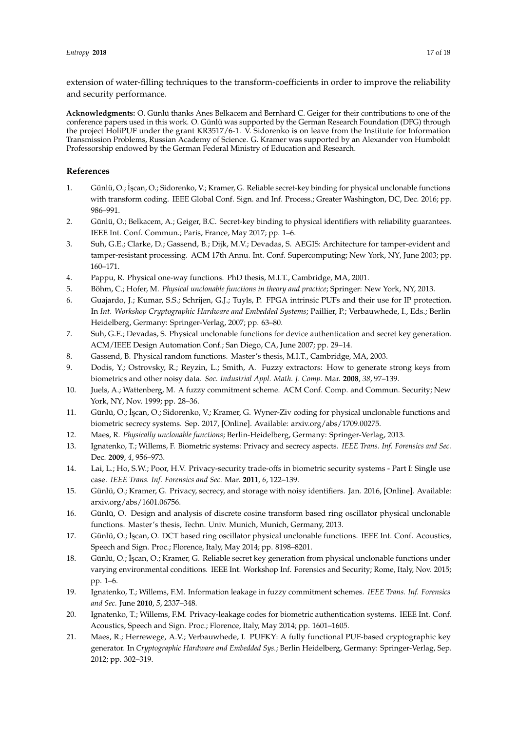extension of water-filling techniques to the transform-coefficients in order to improve the reliability and security performance.

**Acknowledgments:** O. Günlü thanks Anes Belkacem and Bernhard C. Geiger for their contributions to one of the conference papers used in this work. O. Günlü was supported by the German Research Foundation (DFG) through the project HoliPUF under the grant KR3517/6-1. V. Sidorenko is on leave from the Institute for Information Transmission Problems, Russian Academy of Science. G. Kramer was supported by an Alexander von Humboldt Professorship endowed by the German Federal Ministry of Education and Research.

# **References**

- <span id="page-16-0"></span>1. Günlü, O.; İscan, O.; Sidorenko, V.; Kramer, G. Reliable secret-key binding for physical unclonable functions with transform coding. IEEE Global Conf. Sign. and Inf. Process.; Greater Washington, DC, Dec. 2016; pp. 986–991.
- <span id="page-16-1"></span>2. Günlü, O.; Belkacem, A.; Geiger, B.C. Secret-key binding to physical identifiers with reliability guarantees. IEEE Int. Conf. Commun.; Paris, France, May 2017; pp. 1–6.
- <span id="page-16-2"></span>3. Suh, G.E.; Clarke, D.; Gassend, B.; Dijk, M.V.; Devadas, S. AEGIS: Architecture for tamper-evident and tamper-resistant processing. ACM 17th Annu. Int. Conf. Supercomputing; New York, NY, June 2003; pp. 160–171.
- <span id="page-16-3"></span>4. Pappu, R. Physical one-way functions. PhD thesis, M.I.T., Cambridge, MA, 2001.
- <span id="page-16-4"></span>5. Böhm, C.; Hofer, M. *Physical unclonable functions in theory and practice*; Springer: New York, NY, 2013.
- <span id="page-16-5"></span>6. Guajardo, J.; Kumar, S.S.; Schrijen, G.J.; Tuyls, P. FPGA intrinsic PUFs and their use for IP protection. In *Int. Workshop Cryptographic Hardware and Embedded Systems*; Paillier, P.; Verbauwhede, I., Eds.; Berlin Heidelberg, Germany: Springer-Verlag, 2007; pp. 63–80.
- <span id="page-16-6"></span>7. Suh, G.E.; Devadas, S. Physical unclonable functions for device authentication and secret key generation. ACM/IEEE Design Automation Conf.; San Diego, CA, June 2007; pp. 29–14.
- <span id="page-16-7"></span>8. Gassend, B. Physical random functions. Master's thesis, M.I.T., Cambridge, MA, 2003.
- <span id="page-16-8"></span>9. Dodis, Y.; Ostrovsky, R.; Reyzin, L.; Smith, A. Fuzzy extractors: How to generate strong keys from biometrics and other noisy data. *Soc. Industrial Appl. Math. J. Comp.* Mar. **2008**, *38*, 97–139.
- <span id="page-16-9"></span>10. Juels, A.; Wattenberg, M. A fuzzy commitment scheme. ACM Conf. Comp. and Commun. Security; New York, NY, Nov. 1999; pp. 28–36.
- <span id="page-16-10"></span>11. Günlü, O.; ˙I¸scan, O.; Sidorenko, V.; Kramer, G. Wyner-Ziv coding for physical unclonable functions and biometric secrecy systems. Sep. 2017, [Online]. Available: arxiv.org/abs/1709.00275.
- <span id="page-16-11"></span>12. Maes, R. *Physically unclonable functions*; Berlin-Heidelberg, Germany: Springer-Verlag, 2013.
- <span id="page-16-12"></span>13. Ignatenko, T.; Willems, F. Biometric systems: Privacy and secrecy aspects. *IEEE Trans. Inf. Forensics and Sec.* Dec. **2009**, *4*, 956–973.
- <span id="page-16-20"></span>14. Lai, L.; Ho, S.W.; Poor, H.V. Privacy-security trade-offs in biometric security systems - Part I: Single use case. *IEEE Trans. Inf. Forensics and Sec.* Mar. **2011**, *6*, 122–139.
- <span id="page-16-13"></span>15. Günlü, O.; Kramer, G. Privacy, secrecy, and storage with noisy identifiers. Jan. 2016, [Online]. Available: arxiv.org/abs/1601.06756.
- <span id="page-16-14"></span>16. Günlü, O. Design and analysis of discrete cosine transform based ring oscillator physical unclonable functions. Master's thesis, Techn. Univ. Munich, Munich, Germany, 2013.
- <span id="page-16-15"></span>17. Günlü, O.; İşcan, O. DCT based ring oscillator physical unclonable functions. IEEE Int. Conf. Acoustics, Speech and Sign. Proc.; Florence, Italy, May 2014; pp. 8198–8201.
- <span id="page-16-16"></span>18. Günlü, O.; ˙I¸scan, O.; Kramer, G. Reliable secret key generation from physical unclonable functions under varying environmental conditions. IEEE Int. Workshop Inf. Forensics and Security; Rome, Italy, Nov. 2015; pp. 1–6.
- <span id="page-16-17"></span>19. Ignatenko, T.; Willems, F.M. Information leakage in fuzzy commitment schemes. *IEEE Trans. Inf. Forensics and Sec.* June **2010**, *5*, 2337–348.
- <span id="page-16-18"></span>20. Ignatenko, T.; Willems, F.M. Privacy-leakage codes for biometric authentication systems. IEEE Int. Conf. Acoustics, Speech and Sign. Proc.; Florence, Italy, May 2014; pp. 1601–1605.
- <span id="page-16-19"></span>21. Maes, R.; Herrewege, A.V.; Verbauwhede, I. PUFKY: A fully functional PUF-based cryptographic key generator. In *Cryptographic Hardware and Embedded Sys.*; Berlin Heidelberg, Germany: Springer-Verlag, Sep. 2012; pp. 302–319.